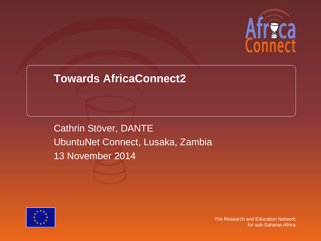

### **Towards AfricaConnect2**

Cathrin Stöver, DANTE UbuntuNet Connect, Lusaka, Zambia 13 November 2014

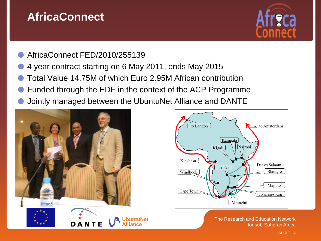## **AfricaConnect**



#### AfricaConnect FED/2010/255139

- 4 year contract starting on 6 May 2011, ends May 2015
- Total Value 14.75M of which Euro 2.95M African contribution
- Funded through the EDF in the context of the ACP Programme
- Jointly managed between the UbuntuNet Alliance and DANTE



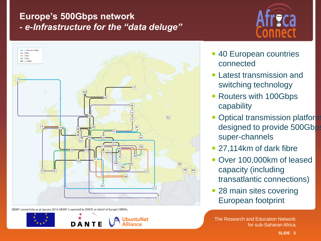### **Europe's 500Gbps network**  *- e-Infrastructure for the "data deluge"*





GÉANT connectivity as at January 2014. GÉANT is operated by DANTE on behalf of Europe's NRENs.





- 40 European countries connected
- Latest transmission and switching technology
- Routers with 100Gbps capability
- Optical transmission platform designed to provide 500Gbps super-channels
- 27,114km of dark fibre
- Over 100,000km of leased capacity (including transatlantic connections)
- 28 main sites covering European footprint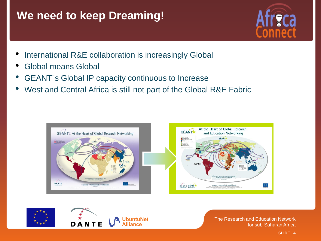## **We need to keep Dreaming!**



- International R&E collaboration is increasingly Global
- Global means Global
- GEANT's Global IP capacity continuous to Increase
- West and Central Africa is still not part of the Global R&E Fabric



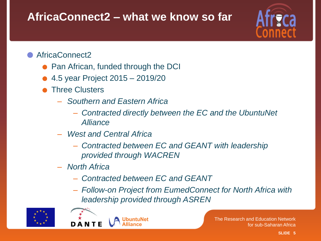# **AfricaConnect2 – what we know so far**



### AfricaConnect2

- Pan African, funded through the DCI
- 4.5 year Project 2015 2019/20
- Three Clusters
	- *Southern and Eastern Africa*
		- *Contracted directly between the EC and the UbuntuNet Alliance*
	- *West and Central Africa*
		- *Contracted between EC and GEANT with leadership provided through WACREN*
	- *North Africa*
		- *Contracted between EC and GEANT*
		- *Follow-on Project from EumedConnect for North Africa with leadership provided through ASREN*



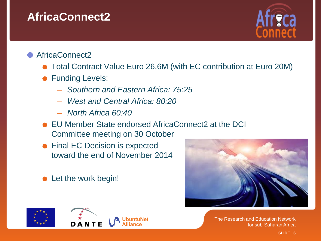## **AfricaConnect2**



#### AfricaConnect2

- Total Contract Value Euro 26.6M (with EC contribution at Euro 20M)
- **Funding Levels:** 
	- *Southern and Eastern Africa: 75:25*
	- *West and Central Africa: 80:20*
	- *North Africa 60:40*
- EU Member State endorsed AfricaConnect2 at the DCI Committee meeting on 30 October
- Final EC Decision is expected toward the end of November 2014
- Let the work begin!









**SLIDE 6**